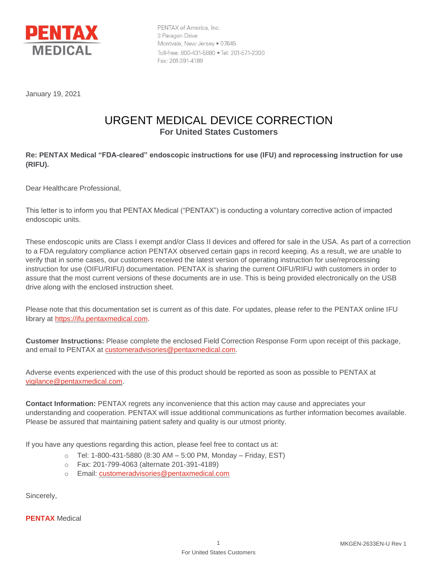

PENTAX of America, Inc. 3 Paragon Drive Montvale, New Jersey . 07645 Toll-free: 800-431-5880 . Tel: 201-571-2300 Fax: 201-391-4189

January 19, 2021

## URGENT MEDICAL DEVICE CORRECTION **For United States Customers**

## **Re: PENTAX Medical "FDA-cleared" endoscopic instructions for use (IFU) and reprocessing instruction for use (RIFU).**

Dear Healthcare Professional,

This letter is to inform you that PENTAX Medical ("PENTAX") is conducting a voluntary corrective action of impacted endoscopic units.

These endoscopic units are Class I exempt and/or Class II devices and offered for sale in the USA. As part of a correction to a FDA regulatory compliance action PENTAX observed certain gaps in record keeping. As a result, we are unable to verify that in some cases, our customers received the latest version of operating instruction for use/reprocessing instruction for use (OIFU/RIFU) documentation. PENTAX is sharing the current OIFU/RIFU with customers in order to assure that the most current versions of these documents are in use. This is being provided electronically on the USB drive along with the enclosed instruction sheet.

Please note that this documentation set is current as of this date. For updates, please refer to the PENTAX online IFU library at [https://ifu.pentaxmedical.com.](https://ifu.pentaxmedical.com/)

**Customer Instructions:** Please complete the enclosed Field Correction Response Form upon receipt of this package, and email to PENTAX at [customeradvisories@pentaxmedical.com.](mailto:customeradvisories@pentaxmedical.com)

Adverse events experienced with the use of this product should be reported as soon as possible to PENTAX at [vigilance@pentaxmedical.com.](mailto:vigilance@pentaxmedical.com)

**Contact Information:** PENTAX regrets any inconvenience that this action may cause and appreciates your understanding and cooperation. PENTAX will issue additional communications as further information becomes available. Please be assured that maintaining patient safety and quality is our utmost priority.

If you have any questions regarding this action, please feel free to contact us at:

- $\circ$  Tel: 1-800-431-5880 (8:30 AM 5:00 PM, Monday Friday, EST)
- o Fax: 201-799-4063 (alternate 201-391-4189)
- o Email: [customeradvisories@pentaxmedical.com](mailto:customeradvisories@pentaxmedical.com)

Sincerely,

**PENTAX** Medical